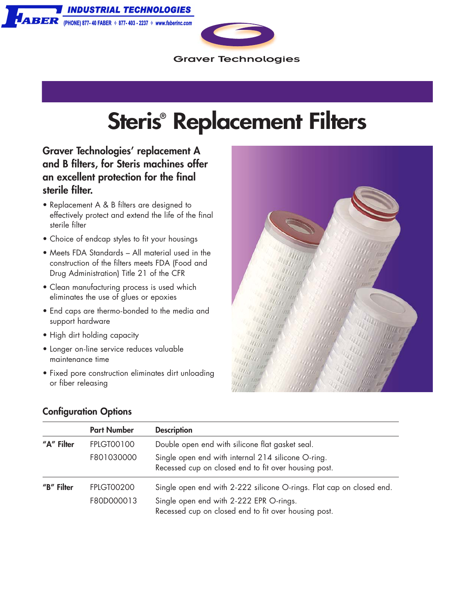NDUSTRIAL TECHNOLOGIES **ABER** (PHONE) 877-40 FABER  $\rightarrow$  877-403 - 2237  $\rightarrow$  www.faberinc.com



**Graver Technologies** 

## **Steris® Replacement Filters**

**Graver Technologies' replacement A and B filters, for Steris machines offer an excellent protection for the final sterile filter.**

- Replacement A & B filters are designed to effectively protect and extend the life of the final sterile filter
- Choice of endcap styles to fit your housings
- Meets FDA Standards All material used in the construction of the filters meets FDA (Food and Drug Administration) Title 21 of the CFR
- Clean manufacturing process is used which eliminates the use of glues or epoxies
- End caps are thermo-bonded to the media and support hardware
- High dirt holding capacity
- Longer on-line service reduces valuable maintenance time
- Fixed pore construction eliminates dirt unloading or fiber releasing



## **Configuration Options**

|            | <b>Part Number</b>              | <b>Description</b>                                                                                                                                                      |
|------------|---------------------------------|-------------------------------------------------------------------------------------------------------------------------------------------------------------------------|
| "A" Filter | <b>FPLGT00100</b>               | Double open end with silicone flat gasket seal.                                                                                                                         |
|            | F801030000                      | Single open end with internal 214 silicone O-ring.<br>Recessed cup on closed end to fit over housing post.                                                              |
| "B" Filter | <b>FPLGT00200</b><br>F80D000013 | Single open end with 2-222 silicone O-rings. Flat cap on closed end.<br>Single open end with 2-222 EPR O-rings.<br>Recessed cup on closed end to fit over housing post. |